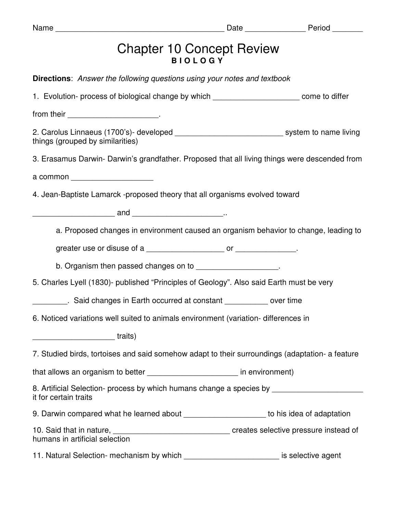| <b>Chapter 10 Concept Review</b>                                                                                                     |  |
|--------------------------------------------------------------------------------------------------------------------------------------|--|
| <b>Directions:</b> Answer the following questions using your notes and textbook                                                      |  |
| 1. Evolution- process of biological change by which ____________________________ come to differ                                      |  |
|                                                                                                                                      |  |
| 2. Carolus Linnaeus (1700's)- developed __________________________________ system to name living<br>things (grouped by similarities) |  |
| 3. Erasamus Darwin- Darwin's grandfather. Proposed that all living things were descended from                                        |  |
| a common _______________________                                                                                                     |  |
| 4. Jean-Baptiste Lamarck -proposed theory that all organisms evolved toward                                                          |  |
|                                                                                                                                      |  |
| a. Proposed changes in environment caused an organism behavior to change, leading to                                                 |  |
|                                                                                                                                      |  |
| b. Organism then passed changes on to ____________________.                                                                          |  |
| 5. Charles Lyell (1830)- published "Principles of Geology". Also said Earth must be very                                             |  |
| Said changes in Earth occurred at constant ____________ over time                                                                    |  |
| 6. Noticed variations well suited to animals environment (variation-differences in                                                   |  |
| <u>1111</u> traits)                                                                                                                  |  |
| 7. Studied birds, tortoises and said somehow adapt to their surroundings (adaptation- a feature                                      |  |
| that allows an organism to better ___________________________ in environment)                                                        |  |
| 8. Artificial Selection- process by which humans change a species by __________________<br>it for certain traits                     |  |
| 9. Darwin compared what he learned about ______________________ to his idea of adaptation                                            |  |
| humans in artificial selection                                                                                                       |  |
| 11. Natural Selection- mechanism by which ____________________________ is selective agent                                            |  |

Name \_\_\_\_\_\_\_\_\_\_\_\_\_\_\_\_\_\_\_\_\_\_\_\_\_\_\_\_\_\_\_\_\_\_\_\_\_\_\_ Date \_\_\_\_\_\_\_\_\_\_\_\_\_\_ Period \_\_\_\_\_\_\_